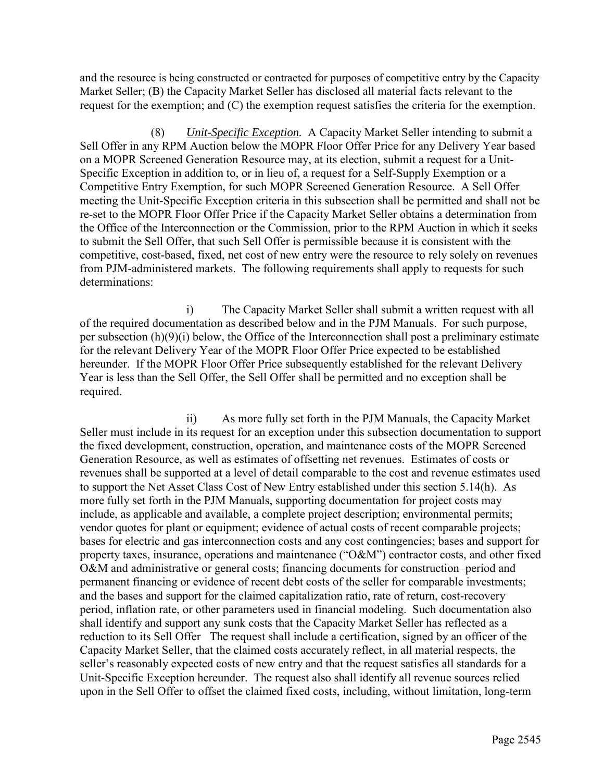and the resource is being constructed or contracted for purposes of competitive entry by the Capacity Market Seller; (B) the Capacity Market Seller has disclosed all material facts relevant to the request for the exemption; and (C) the exemption request satisfies the criteria for the exemption.

(8) *Unit-Specific Exception.* A Capacity Market Seller intending to submit a Sell Offer in any RPM Auction below the MOPR Floor Offer Price for any Delivery Year based on a MOPR Screened Generation Resource may, at its election, submit a request for a Unit-Specific Exception in addition to, or in lieu of, a request for a Self-Supply Exemption or a Competitive Entry Exemption, for such MOPR Screened Generation Resource. A Sell Offer meeting the Unit-Specific Exception criteria in this subsection shall be permitted and shall not be re-set to the MOPR Floor Offer Price if the Capacity Market Seller obtains a determination from the Office of the Interconnection or the Commission, prior to the RPM Auction in which it seeks to submit the Sell Offer, that such Sell Offer is permissible because it is consistent with the competitive, cost-based, fixed, net cost of new entry were the resource to rely solely on revenues from PJM-administered markets. The following requirements shall apply to requests for such determinations:

 i) The Capacity Market Seller shall submit a written request with all of the required documentation as described below and in the PJM Manuals. For such purpose, per subsection (h)(9)(i) below, the Office of the Interconnection shall post a preliminary estimate for the relevant Delivery Year of the MOPR Floor Offer Price expected to be established hereunder. If the MOPR Floor Offer Price subsequently established for the relevant Delivery Year is less than the Sell Offer, the Sell Offer shall be permitted and no exception shall be required.

 ii) As more fully set forth in the PJM Manuals, the Capacity Market Seller must include in its request for an exception under this subsection documentation to support the fixed development, construction, operation, and maintenance costs of the MOPR Screened Generation Resource, as well as estimates of offsetting net revenues. Estimates of costs or revenues shall be supported at a level of detail comparable to the cost and revenue estimates used to support the Net Asset Class Cost of New Entry established under this section 5.14(h). As more fully set forth in the PJM Manuals, supporting documentation for project costs may include, as applicable and available, a complete project description; environmental permits; vendor quotes for plant or equipment; evidence of actual costs of recent comparable projects; bases for electric and gas interconnection costs and any cost contingencies; bases and support for property taxes, insurance, operations and maintenance ("O&M") contractor costs, and other fixed O&M and administrative or general costs; financing documents for construction–period and permanent financing or evidence of recent debt costs of the seller for comparable investments; and the bases and support for the claimed capitalization ratio, rate of return, cost-recovery period, inflation rate, or other parameters used in financial modeling. Such documentation also shall identify and support any sunk costs that the Capacity Market Seller has reflected as a reduction to its Sell Offer The request shall include a certification, signed by an officer of the Capacity Market Seller, that the claimed costs accurately reflect, in all material respects, the seller's reasonably expected costs of new entry and that the request satisfies all standards for a Unit-Specific Exception hereunder. The request also shall identify all revenue sources relied upon in the Sell Offer to offset the claimed fixed costs, including, without limitation, long-term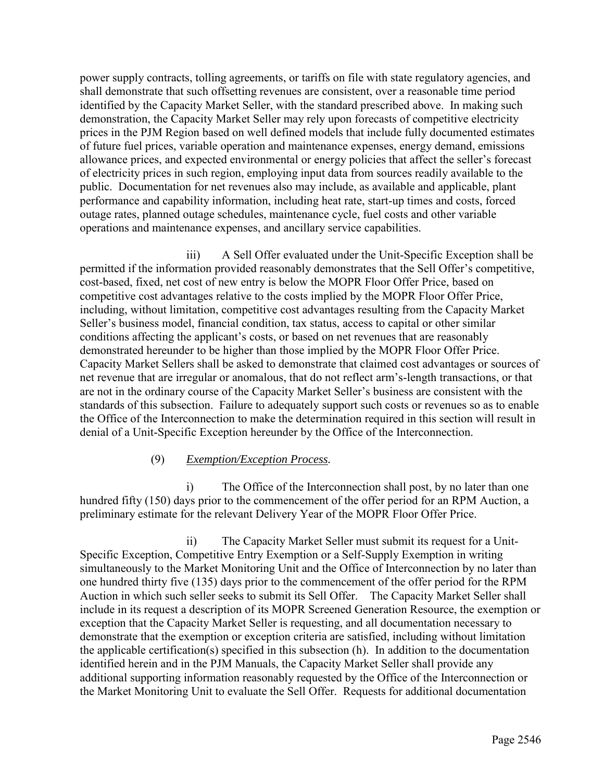power supply contracts, tolling agreements, or tariffs on file with state regulatory agencies, and shall demonstrate that such offsetting revenues are consistent, over a reasonable time period identified by the Capacity Market Seller, with the standard prescribed above. In making such demonstration, the Capacity Market Seller may rely upon forecasts of competitive electricity prices in the PJM Region based on well defined models that include fully documented estimates of future fuel prices, variable operation and maintenance expenses, energy demand, emissions allowance prices, and expected environmental or energy policies that affect the seller's forecast of electricity prices in such region, employing input data from sources readily available to the public. Documentation for net revenues also may include, as available and applicable, plant performance and capability information, including heat rate, start-up times and costs, forced outage rates, planned outage schedules, maintenance cycle, fuel costs and other variable operations and maintenance expenses, and ancillary service capabilities.

 iii) A Sell Offer evaluated under the Unit-Specific Exception shall be permitted if the information provided reasonably demonstrates that the Sell Offer's competitive, cost-based, fixed, net cost of new entry is below the MOPR Floor Offer Price, based on competitive cost advantages relative to the costs implied by the MOPR Floor Offer Price, including, without limitation, competitive cost advantages resulting from the Capacity Market Seller's business model, financial condition, tax status, access to capital or other similar conditions affecting the applicant's costs, or based on net revenues that are reasonably demonstrated hereunder to be higher than those implied by the MOPR Floor Offer Price. Capacity Market Sellers shall be asked to demonstrate that claimed cost advantages or sources of net revenue that are irregular or anomalous, that do not reflect arm's-length transactions, or that are not in the ordinary course of the Capacity Market Seller's business are consistent with the standards of this subsection. Failure to adequately support such costs or revenues so as to enable the Office of the Interconnection to make the determination required in this section will result in denial of a Unit-Specific Exception hereunder by the Office of the Interconnection.

## (9) *Exemption/Exception Process.*

 i) The Office of the Interconnection shall post, by no later than one hundred fifty (150) days prior to the commencement of the offer period for an RPM Auction, a preliminary estimate for the relevant Delivery Year of the MOPR Floor Offer Price.

ii) The Capacity Market Seller must submit its request for a Unit-Specific Exception, Competitive Entry Exemption or a Self-Supply Exemption in writing simultaneously to the Market Monitoring Unit and the Office of Interconnection by no later than one hundred thirty five (135) days prior to the commencement of the offer period for the RPM Auction in which such seller seeks to submit its Sell Offer. The Capacity Market Seller shall include in its request a description of its MOPR Screened Generation Resource, the exemption or exception that the Capacity Market Seller is requesting, and all documentation necessary to demonstrate that the exemption or exception criteria are satisfied, including without limitation the applicable certification(s) specified in this subsection (h). In addition to the documentation identified herein and in the PJM Manuals, the Capacity Market Seller shall provide any additional supporting information reasonably requested by the Office of the Interconnection or the Market Monitoring Unit to evaluate the Sell Offer. Requests for additional documentation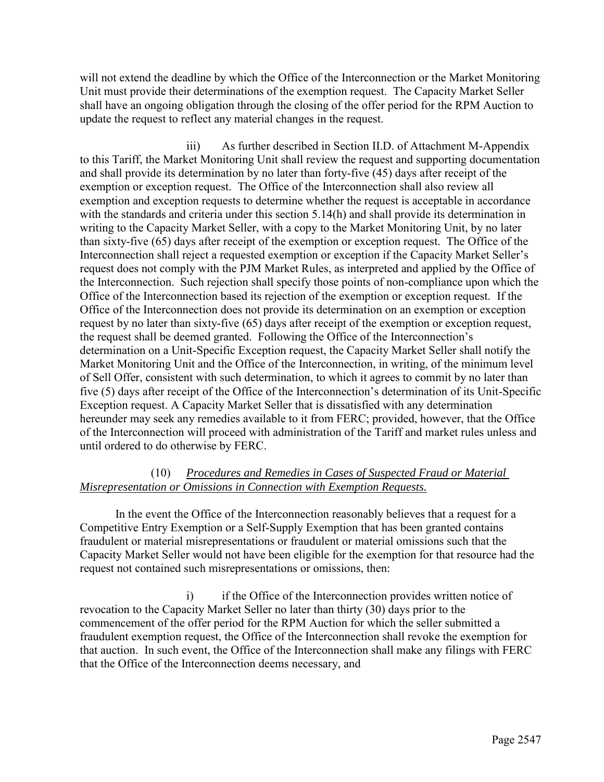will not extend the deadline by which the Office of the Interconnection or the Market Monitoring Unit must provide their determinations of the exemption request. The Capacity Market Seller shall have an ongoing obligation through the closing of the offer period for the RPM Auction to update the request to reflect any material changes in the request.

 iii) As further described in Section II.D. of Attachment M-Appendix to this Tariff, the Market Monitoring Unit shall review the request and supporting documentation and shall provide its determination by no later than forty-five (45) days after receipt of the exemption or exception request. The Office of the Interconnection shall also review all exemption and exception requests to determine whether the request is acceptable in accordance with the standards and criteria under this section 5.14(h) and shall provide its determination in writing to the Capacity Market Seller, with a copy to the Market Monitoring Unit, by no later than sixty-five (65) days after receipt of the exemption or exception request. The Office of the Interconnection shall reject a requested exemption or exception if the Capacity Market Seller's request does not comply with the PJM Market Rules, as interpreted and applied by the Office of the Interconnection. Such rejection shall specify those points of non-compliance upon which the Office of the Interconnection based its rejection of the exemption or exception request. If the Office of the Interconnection does not provide its determination on an exemption or exception request by no later than sixty-five (65) days after receipt of the exemption or exception request, the request shall be deemed granted. Following the Office of the Interconnection's determination on a Unit-Specific Exception request, the Capacity Market Seller shall notify the Market Monitoring Unit and the Office of the Interconnection, in writing, of the minimum level of Sell Offer, consistent with such determination, to which it agrees to commit by no later than five (5) days after receipt of the Office of the Interconnection's determination of its Unit-Specific Exception request. A Capacity Market Seller that is dissatisfied with any determination hereunder may seek any remedies available to it from FERC; provided, however, that the Office of the Interconnection will proceed with administration of the Tariff and market rules unless and until ordered to do otherwise by FERC.

## (10) *Procedures and Remedies in Cases of Suspected Fraud or Material Misrepresentation or Omissions in Connection with Exemption Requests.*

In the event the Office of the Interconnection reasonably believes that a request for a Competitive Entry Exemption or a Self-Supply Exemption that has been granted contains fraudulent or material misrepresentations or fraudulent or material omissions such that the Capacity Market Seller would not have been eligible for the exemption for that resource had the request not contained such misrepresentations or omissions, then:

i) if the Office of the Interconnection provides written notice of revocation to the Capacity Market Seller no later than thirty (30) days prior to the commencement of the offer period for the RPM Auction for which the seller submitted a fraudulent exemption request, the Office of the Interconnection shall revoke the exemption for that auction. In such event, the Office of the Interconnection shall make any filings with FERC that the Office of the Interconnection deems necessary, and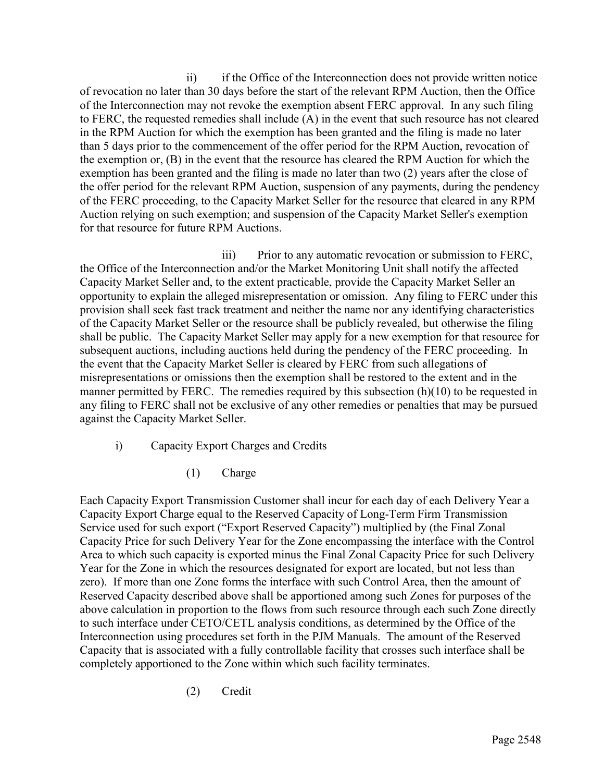ii) if the Office of the Interconnection does not provide written notice of revocation no later than 30 days before the start of the relevant RPM Auction, then the Office of the Interconnection may not revoke the exemption absent FERC approval. In any such filing to FERC, the requested remedies shall include (A) in the event that such resource has not cleared in the RPM Auction for which the exemption has been granted and the filing is made no later than 5 days prior to the commencement of the offer period for the RPM Auction, revocation of the exemption or, (B) in the event that the resource has cleared the RPM Auction for which the exemption has been granted and the filing is made no later than two (2) years after the close of the offer period for the relevant RPM Auction, suspension of any payments, during the pendency of the FERC proceeding, to the Capacity Market Seller for the resource that cleared in any RPM Auction relying on such exemption; and suspension of the Capacity Market Seller's exemption for that resource for future RPM Auctions.

 iii) Prior to any automatic revocation or submission to FERC, the Office of the Interconnection and/or the Market Monitoring Unit shall notify the affected Capacity Market Seller and, to the extent practicable, provide the Capacity Market Seller an opportunity to explain the alleged misrepresentation or omission. Any filing to FERC under this provision shall seek fast track treatment and neither the name nor any identifying characteristics of the Capacity Market Seller or the resource shall be publicly revealed, but otherwise the filing shall be public. The Capacity Market Seller may apply for a new exemption for that resource for subsequent auctions, including auctions held during the pendency of the FERC proceeding. In the event that the Capacity Market Seller is cleared by FERC from such allegations of misrepresentations or omissions then the exemption shall be restored to the extent and in the manner permitted by FERC. The remedies required by this subsection (h)(10) to be requested in any filing to FERC shall not be exclusive of any other remedies or penalties that may be pursued against the Capacity Market Seller.

- i) Capacity Export Charges and Credits
	- (1) Charge

Each Capacity Export Transmission Customer shall incur for each day of each Delivery Year a Capacity Export Charge equal to the Reserved Capacity of Long-Term Firm Transmission Service used for such export ("Export Reserved Capacity") multiplied by (the Final Zonal Capacity Price for such Delivery Year for the Zone encompassing the interface with the Control Area to which such capacity is exported minus the Final Zonal Capacity Price for such Delivery Year for the Zone in which the resources designated for export are located, but not less than zero). If more than one Zone forms the interface with such Control Area, then the amount of Reserved Capacity described above shall be apportioned among such Zones for purposes of the above calculation in proportion to the flows from such resource through each such Zone directly to such interface under CETO/CETL analysis conditions, as determined by the Office of the Interconnection using procedures set forth in the PJM Manuals. The amount of the Reserved Capacity that is associated with a fully controllable facility that crosses such interface shall be completely apportioned to the Zone within which such facility terminates.

(2) Credit